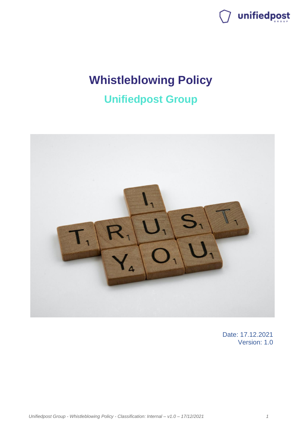

## **Whistleblowing Policy**

## **Unifiedpost Group**



Date: 17.12.2021 Version: 1.0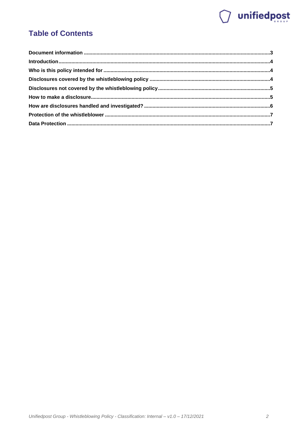# wnifiedpost

## **Table of Contents**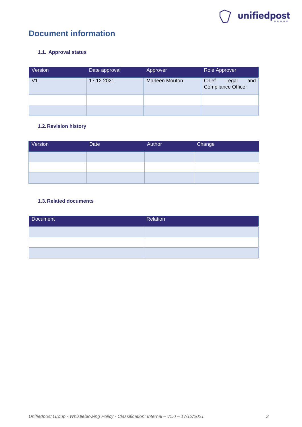

## <span id="page-2-0"></span>**Document information**

#### **1.1. Approval status**

| Version | Date approval | Approver              | Role Approver                                      |
|---------|---------------|-----------------------|----------------------------------------------------|
| V1      | 17.12.2021    | <b>Marleen Mouton</b> | Chief<br>Legal<br>and<br><b>Compliance Officer</b> |
|         |               |                       |                                                    |
|         |               |                       |                                                    |

#### **1.2. Revision history**

| Version | Date | Author | Change |
|---------|------|--------|--------|
|         |      |        |        |
|         |      |        |        |
|         |      |        |        |

#### **1.3. Related documents**

| Document | Relation |
|----------|----------|
|          |          |
|          |          |
|          |          |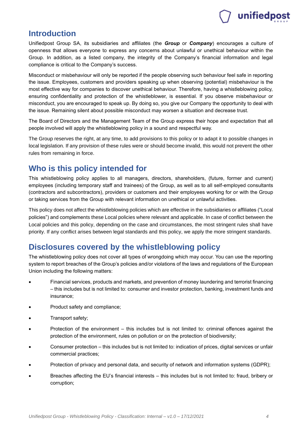# unifiedpost

### <span id="page-3-0"></span>**Introduction**

Unifiedpost Group SA, its subsidiaries and affiliates (the *Group* or *Company*) encourages a culture of openness that allows everyone to express any concerns about unlawful or unethical behaviour within the Group. In addition, as a listed company, the integrity of the Company's financial information and legal compliance is critical to the Company's success.

Misconduct or misbehaviour will only be reported if the people observing such behaviour feel safe in reporting the issue. Employees, customers and providers speaking up when observing (potential) misbehaviour is the most effective way for companies to discover unethical behaviour. Therefore, having a whistleblowing policy, ensuring confidentiality and protection of the whistleblower, is essential. If you observe misbehaviour or misconduct, you are encouraged to speak up. By doing so, you give our Company the opportunity to deal with the issue. Remaining silent about possible misconduct may worsen a situation and decrease trust.

The Board of Directors and the Management Team of the Group express their hope and expectation that all people involved will apply the whistleblowing policy in a sound and respectful way.

The Group reserves the right, at any time, to add provisions to this policy or to adapt it to possible changes in local legislation. If any provision of these rules were or should become invalid, this would not prevent the other rules from remaining in force.

### <span id="page-3-1"></span>**Who is this policy intended for**

This whistleblowing policy applies to all managers, directors, shareholders, (future, former and current) employees (including temporary staff and trainees) of the Group, as well as to all self-employed consultants (contractors and subcontractors), providers or customers and their employees working for or with the Group or taking services from the Group with relevant information on unethical or unlawful activities.

This policy does not affect the whistleblowing policies which are effective in the subsidiaries or affiliates ("Local policies") and complements these Local policies where relevant and applicable. In case of conflict between the Local policies and this policy, depending on the case and circumstances, the most stringent rules shall have priority. If any conflict arises between legal standards and this policy, we apply the more stringent standards.

## <span id="page-3-2"></span>**Disclosures covered by the whistleblowing policy**

The whistleblowing policy does not cover all types of wrongdoing which may occur. You can use the reporting system to report breaches of the Group's policies and/or violations of the laws and regulations of the European Union including the following matters:

- Financial services, products and markets, and prevention of money laundering and terrorist financing – this includes but is not limited to: consumer and investor protection, banking, investment funds and insurance;
- Product safety and compliance;
- Transport safety;
- Protection of the environment this includes but is not limited to: criminal offences against the protection of the environment, rules on pollution or on the protection of biodiversity;
- Consumer protection this includes but is not limited to: indication of prices, digital services or unfair commercial practices;
- Protection of privacy and personal data, and security of network and information systems (GDPR);
- Breaches affecting the EU's financial interests this includes but is not limited to: fraud, bribery or corruption;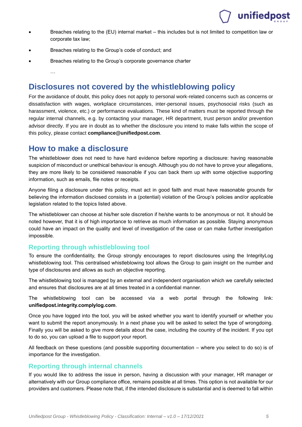## unifiedpost

- Breaches relating to the (EU) internal market this includes but is not limited to competition law or corporate tax law;
- Breaches relating to the Group's code of conduct; and
- Breaches relating to the Group's corporate governance charter

…

### <span id="page-4-0"></span>**Disclosures not covered by the whistleblowing policy**

For the avoidance of doubt, this policy does not apply to personal work-related concerns such as concerns or dissatisfaction with wages, workplace circumstances, inter-personal issues, psychosocial risks (such as harassment, violence, etc.) or performance evaluations. These kind of matters must be reported through the regular internal channels, e.g. by contacting your manager, HR department, trust person and/or prevention advisor directly. If you are in doubt as to whether the disclosure you intend to make falls within the scope of this policy, please contact **[compliance@unifiedpost.com](mailto:compliance@unifiedpost.com)**.

### <span id="page-4-1"></span>**How to make a disclosure**

The whistleblower does not need to have hard evidence before reporting a disclosure: having reasonable suspicion of misconduct or unethical behaviour is enough. Although you do not have to prove your allegations, they are more likely to be considered reasonable if you can back them up with some objective supporting information, such as emails, file notes or receipts.

Anyone filing a disclosure under this policy, must act in good faith and must have reasonable grounds for believing the information disclosed consists in a (potential) violation of the Group's policies and/or applicable legislation related to the topics listed above.

The whistleblower can choose at his/her sole discretion if he/she wants to be anonymous or not. It should be noted however, that it is of high importance to retrieve as much information as possible. Staying anonymous could have an impact on the quality and level of investigation of the case or can make further investigation impossible.

#### **Reporting through whistleblowing tool**

To ensure the confidentiality, the Group strongly encourages to report disclosures using the IntegrityLog whistleblowing tool. This centralised whistleblowing tool allows the Group to gain insight on the number and type of disclosures and allows as such an objective reporting.

The whistleblowing tool is managed by an external and independent organisation which we carefully selected and ensures that disclosures are at all times treated in a confidential manner.

The whistleblowing tool can be accessed via a web portal through the following link: **unifiedpost.integrity.complylog.com**.

Once you have logged into the tool, you will be asked whether you want to identify yourself or whether you want to submit the report anonymously. In a next phase you will be asked to select the type of wrongdoing. Finally you will be asked to give more details about the case, including the country of the incident. If you opt to do so, you can upload a file to support your report.

All feedback on these questions (and possible supporting documentation – where you select to do so) is of importance for the investigation.

#### **Reporting through internal channels**

If you would like to address the issue in person, having a discussion with your manager, HR manager or alternatively with our Group compliance office, remains possible at all times. This option is not available for our providers and customers. Please note that, if the intended disclosure is substantial and is deemed to fall within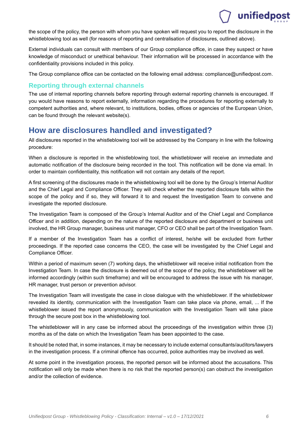## unifiedpost

the scope of the policy, the person with whom you have spoken will request you to report the disclosure in the whistleblowing tool as well (for reasons of reporting and centralisation of disclosures, outlined above).

External individuals can consult with members of our Group compliance office, in case they suspect or have knowledge of misconduct or unethical behaviour. Their information will be processed in accordance with the confidentiality provisions included in this policy.

The Group compliance office can be contacted on the following email address: compliance@unifiedpost.com.

#### **Reporting through external channels**

The use of internal reporting channels before reporting through external reporting channels is encouraged. If you would have reasons to report externally, information regarding the procedures for reporting externally to competent authorities and, where relevant, to institutions, bodies, offices or agencies of the European Union, can be found through the relevant website(s).

## <span id="page-5-0"></span>**How are disclosures handled and investigated?**

All disclosures reported in the whistleblowing tool will be addressed by the Company in line with the following procedure:

When a disclosure is reported in the whistleblowing tool, the whistleblower will receive an immediate and automatic notification of the disclosure being recorded in the tool. This notification will be done via email. In order to maintain confidentiality, this notification will not contain any details of the report.

A first screening of the disclosures made in the whistleblowing tool will be done by the Group's Internal Auditor and the Chief Legal and Compliance Officer. They will check whether the reported disclosure falls within the scope of the policy and if so, they will forward it to and request the Investigation Team to convene and investigate the reported disclosure.

The Investigation Team is composed of the Group's Internal Auditor and of the Chief Legal and Compliance Officer and in addition, depending on the nature of the reported disclosure and department or business unit involved, the HR Group manager, business unit manager, CFO or CEO shall be part of the Investigation Team.

If a member of the Investigation Team has a conflict of interest, he/she will be excluded from further proceedings. If the reported case concerns the CEO, the case will be investigated by the Chief Legal and Compliance Officer.

Within a period of maximum seven (7) working days, the whistleblower will receive initial notification from the Investigation Team. In case the disclosure is deemed out of the scope of the policy, the whistleblower will be informed accordingly (within such timeframe) and will be encouraged to address the issue with his manager, HR manager, trust person or prevention advisor.

The Investigation Team will investigate the case in close dialogue with the whistleblower. If the whistleblower revealed its identity, communication with the Investigation Team can take place via phone, email, ... If the whistleblower issued the report anonymously, communication with the Investigation Team will take place through the secure post box in the whistleblowing tool.

The whistleblower will in any case be informed about the proceedings of the investigation within three (3) months as of the date on which the Investigation Team has been appointed to the case.

It should be noted that, in some instances, it may be necessary to include external consultants/auditors/lawyers in the investigation process. If a criminal offence has occurred, police authorities may be involved as well.

At some point in the investigation process, the reported person will be informed about the accusations. This notification will only be made when there is no risk that the reported person(s) can obstruct the investigation and/or the collection of evidence.